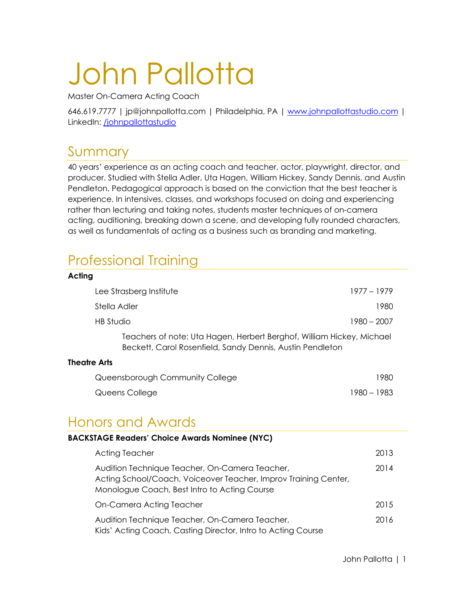# John Pallotta

Master On-Camera Acting Coach

646.619.7777 | jp@johnpallotta.com | Philadelphia, PA | www.johnpallottastudio.com | LinkedIn: **/johnpallottastudio** 

## Summary

40 years' experience as an acting coach and teacher, actor, playwright, director, and producer. Studied with Stella Adler, Uta Hagen, William Hickey, Sandy Dennis, and Austin Pendleton. Pedagogical approach is based on the conviction that the best teacher is experience. In intensives, classes, and workshops focused on doing and experiencing rather than lecturing and taking notes, students master techniques of on-camera acting, auditioning, breaking down a scene, and developing fully rounded characters, as well as fundamentals of acting as a business such as branding and marketing.

## Professional Training

| Acting                                                                                                                             |             |
|------------------------------------------------------------------------------------------------------------------------------------|-------------|
| Lee Strasberg Institute                                                                                                            | 1977 – 1979 |
| Stella Adler                                                                                                                       | 1980        |
| HB Studio                                                                                                                          | 1980 - 2007 |
| Teachers of note: Uta Hagen, Herbert Berghof, William Hickey, Michael<br>Beckett, Carol Rosenfield, Sandy Dennis, Austin Pendleton |             |
| <b>Theatre Arts</b>                                                                                                                |             |
| Queensborough Community College                                                                                                    | 1980        |
| Queens College                                                                                                                     | 1980 – 1983 |

## Honors and Awards

| <b>BACKSTAGE Readers' Choice Awards Nominee (NYC)</b>                                                                                                             |      |  |
|-------------------------------------------------------------------------------------------------------------------------------------------------------------------|------|--|
| <b>Acting Teacher</b>                                                                                                                                             | 2013 |  |
| Audition Technique Teacher, On-Camera Teacher,<br>Acting School/Coach, Voiceover Teacher, Improv Training Center,<br>Monologue Coach, Best Intro to Acting Course | 2014 |  |
| On-Camera Acting Teacher                                                                                                                                          | 2015 |  |
| Audition Technique Teacher, On-Camera Teacher,<br>Kids' Acting Coach, Casting Director, Intro to Acting Course                                                    | 2016 |  |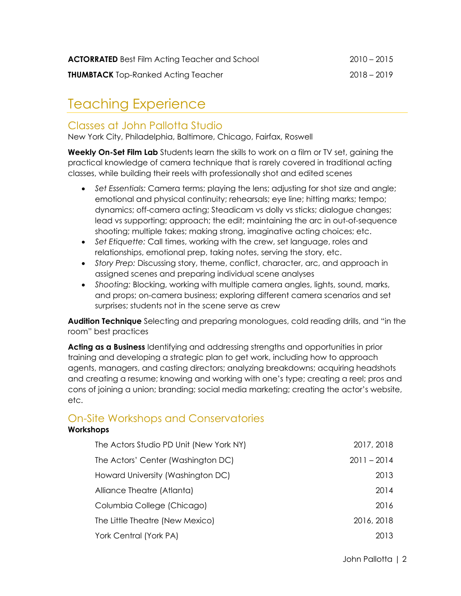## Teaching Experience

### Classes at John Pallotta Studio

New York City, Philadelphia, Baltimore, Chicago, Fairfax, Roswell

**Weekly On-Set Film Lab** Students learn the skills to work on a film or TV set, gaining the practical knowledge of camera technique that is rarely covered in traditional acting classes, while building their reels with professionally shot and edited scenes

- *Set Essentials:* Camera terms; playing the lens; adjusting for shot size and angle; emotional and physical continuity; rehearsals; eye line; hitting marks; tempo; dynamics; off-camera acting; Steadicam vs dolly vs sticks; dialogue changes; lead vs supporting; approach; the edit; maintaining the arc in out-of-sequence shooting; multiple takes; making strong, imaginative acting choices; etc.
- *Set Etiquette:* Call times, working with the crew, set language, roles and relationships, emotional prep, taking notes, serving the story, etc.
- *Story Prep:* Discussing story, theme, conflict, character, arc, and approach in assigned scenes and preparing individual scene analyses
- *Shooting:* Blocking, working with multiple camera angles, lights, sound, marks, and props; on-camera business; exploring different camera scenarios and set surprises; students not in the scene serve as crew

**Audition Technique** Selecting and preparing monologues, cold reading drills, and "in the room" best practices

**Acting as a Business** Identifying and addressing strengths and opportunities in prior training and developing a strategic plan to get work, including how to approach agents, managers, and casting directors; analyzing breakdowns; acquiring headshots and creating a resume; knowing and working with one's type; creating a reel; pros and cons of joining a union; branding; social media marketing; creating the actor's website, etc.

## On-Site Workshops and Conservatories

#### **Workshops**

| 2017, 2018    |
|---------------|
| $2011 - 2014$ |
| 2013          |
| 2014          |
| 2016          |
| 2016, 2018    |
| 2013          |
|               |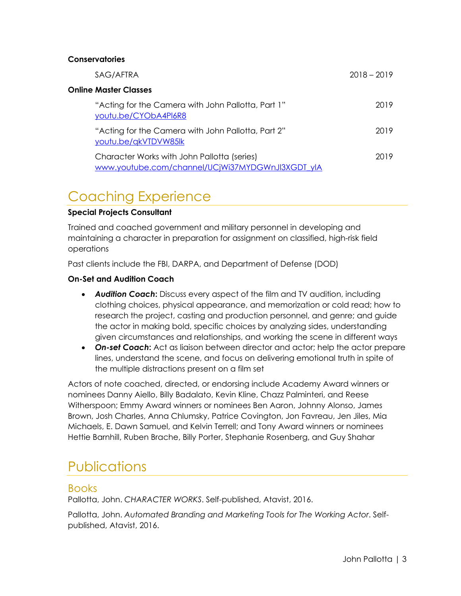#### **Conservatories**

| SAG/AFTRA                                                                                       | $2018 - 2019$ |
|-------------------------------------------------------------------------------------------------|---------------|
| Online Master Classes                                                                           |               |
| "Acting for the Camera with John Pallotta, Part 1"<br>youtu.be/CYObA4PI6R8                      | 2019          |
| "Acting for the Camera with John Pallotta, Part 2"<br>youtu.be/qkVTDVW85lk                      | 2019          |
| Character Works with John Pallotta (series)<br>www.youtube.com/channel/UCjWi37MYDGWnJl3XGDT_ylA | 2019          |

## Coaching Experience

#### **Special Projects Consultant**

Trained and coached government and military personnel in developing and maintaining a character in preparation for assignment on classified, high-risk field operations

Past clients include the FBI, DARPA, and Department of Defense (DOD)

#### **On-Set and Audition Coach**

- *Audition Coach***:** Discuss every aspect of the film and TV audition, including clothing choices, physical appearance, and memorization or cold read; how to research the project, casting and production personnel, and genre; and guide the actor in making bold, specific choices by analyzing sides, understanding given circumstances and relationships, and working the scene in different ways
- *On-set Coach***:** Act as liaison between director and actor; help the actor prepare lines, understand the scene, and focus on delivering emotional truth in spite of the multiple distractions present on a film set

Actors of note coached, directed, or endorsing include Academy Award winners or nominees Danny Aiello, Billy Badalato, Kevin Kline, Chazz Palminteri, and Reese Witherspoon; Emmy Award winners or nominees Ben Aaron, Johnny Alonso, James Brown, Josh Charles, Anna Chlumsky, Patrice Covington, Jon Favreau, Jen Jiles, Mia Michaels, E. Dawn Samuel, and Kelvin Terrell; and Tony Award winners or nominees Hettie Barnhill, Ruben Brache, Billy Porter, Stephanie Rosenberg, and Guy Shahar

## **Publications**

#### Books

Pallotta, John. *CHARACTER WORKS*. Self-published, Atavist, 2016.

Pallotta, John. *Automated Branding and Marketing Tools for The Working Actor*. Selfpublished, Atavist, 2016.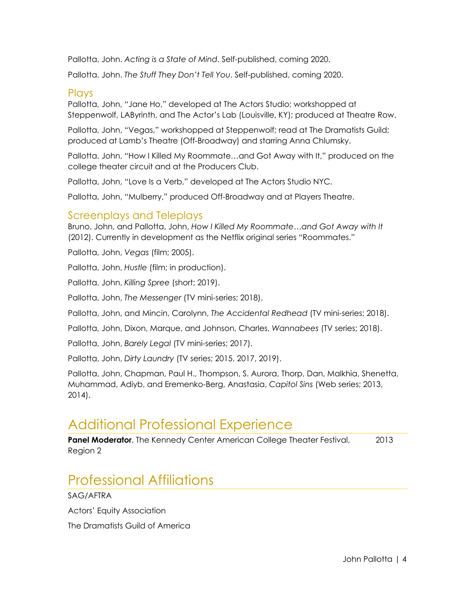Pallotta, John. *Acting is a State of Mind*. Self-published, coming 2020.

Pallotta, John. *The Stuff They Don't Tell You*. Self-published, coming 2020.

#### Plays

Pallotta, John, "Jane Ho," developed at The Actors Studio; workshopped at Steppenwolf, LAByrinth, and The Actor's Lab (Louisville, KY); produced at Theatre Row.

Pallotta, John, "Vegas," workshopped at Steppenwolf; read at The Dramatists Guild; produced at Lamb's Theatre (Off-Broadway) and starring Anna Chlumsky.

Pallotta, John, "How I Killed My Roommate…and Got Away with It," produced on the college theater circuit and at the Producers Club.

Pallotta, John, "Love Is a Verb," developed at The Actors Studio NYC.

Pallotta, John, "Mulberry," produced Off-Broadway and at Players Theatre.

#### Screenplays and Teleplays

Bruno, John, and Pallotta, John, *How I Killed My Roommate…and Got Away with It* (2012). Currently in development as the Netflix original series "Roommates."

Pallotta, John, *Vegas* (film; 2005).

Pallotta, John, *Hustle* (film; in production).

Pallotta, John, *Killing Spree* (short; 2019).

Pallotta, John, *The Messenger* (TV mini-series; 2018).

Pallotta, John, and Mincin, Carolynn, *The Accidental Redhead* (TV mini-series; 2018).

Pallotta, John, Dixon, Marque, and Johnson, Charles, *Wannabees* (TV series; 2018).

Pallotta, John, *Barely Legal* (TV mini-series; 2017).

Pallotta, John, *Dirty Laundry* (TV series; 2015, 2017, 2019).

Pallotta, John, Chapman, Paul H., Thompson, S. Aurora, Thorp, Dan, Malkhia, Shenetta, Muhammad, Adiyb, and Eremenko-Berg, Anastasia, *Capitol Sins* (Web series; 2013, 2014).

## Additional Professional Experience

**Panel Moderator**, The Kennedy Center American College Theater Festival, 2013 Region 2

## Professional Affiliations

SAG/AFTRA

Actors' Equity Association

The Dramatists Guild of America